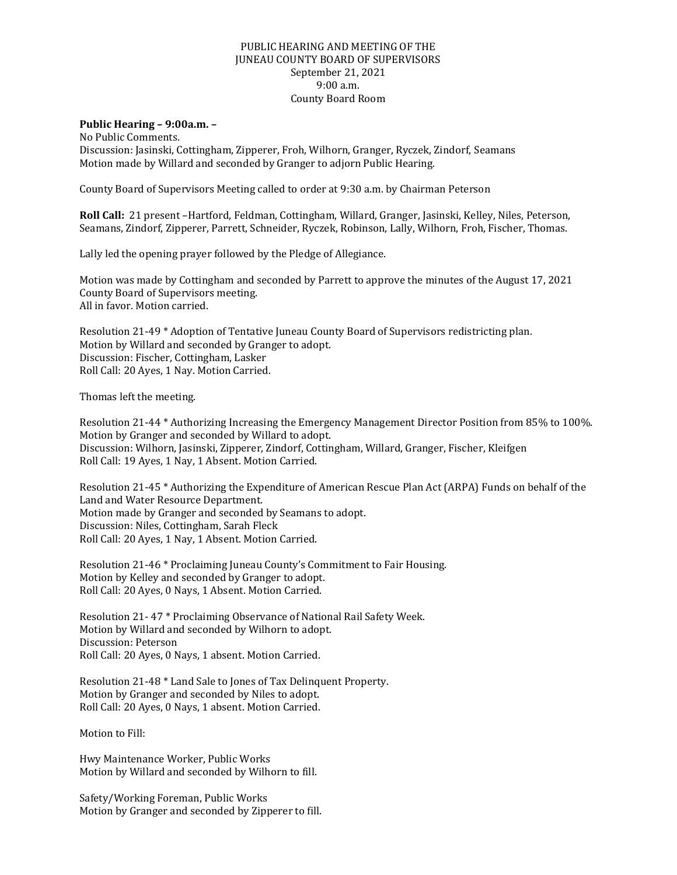## PUBLIC HEARING AND MEETING OF THE JUNEAU COUNTY BOARD OF SUPERVISORS September 21, 2021 9:00 a.m. County Board Room

## **Public Hearing – 9:00a.m. –**

No Public Comments. Discussion: Jasinski, Cottingham, Zipperer, Froh, Wilhorn, Granger, Ryczek, Zindorf, Seamans Motion made by Willard and seconded by Granger to adjorn Public Hearing.

County Board of Supervisors Meeting called to order at 9:30 a.m. by Chairman Peterson

**Roll Call:** 21 present –Hartford, Feldman, Cottingham, Willard, Granger, Jasinski, Kelley, Niles, Peterson, Seamans, Zindorf, Zipperer, Parrett, Schneider, Ryczek, Robinson, Lally, Wilhorn, Froh, Fischer, Thomas.

Lally led the opening prayer followed by the Pledge of Allegiance.

Motion was made by Cottingham and seconded by Parrett to approve the minutes of the August 17, 2021 County Board of Supervisors meeting. All in favor. Motion carried.

Resolution 21-49 \* Adoption of Tentative Juneau County Board of Supervisors redistricting plan. Motion by Willard and seconded by Granger to adopt. Discussion: Fischer, Cottingham, Lasker Roll Call: 20 Ayes, 1 Nay. Motion Carried.

Thomas left the meeting.

Resolution 21-44 \* Authorizing Increasing the Emergency Management Director Position from 85% to 100%. Motion by Granger and seconded by Willard to adopt. Discussion: Wilhorn, Jasinski, Zipperer, Zindorf, Cottingham, Willard, Granger, Fischer, Kleifgen Roll Call: 19 Ayes, 1 Nay, 1 Absent. Motion Carried.

Resolution 21-45 \* Authorizing the Expenditure of American Rescue Plan Act (ARPA) Funds on behalf of the Land and Water Resource Department. Motion made by Granger and seconded by Seamans to adopt. Discussion: Niles, Cottingham, Sarah Fleck Roll Call: 20 Ayes, 1 Nay, 1 Absent. Motion Carried.

Resolution 21-46 \* Proclaiming Juneau County's Commitment to Fair Housing. Motion by Kelley and seconded by Granger to adopt. Roll Call: 20 Ayes, 0 Nays, 1 Absent. Motion Carried.

Resolution 21- 47 \* Proclaiming Observance of National Rail Safety Week. Motion by Willard and seconded by Wilhorn to adopt. Discussion: Peterson Roll Call: 20 Ayes, 0 Nays, 1 absent. Motion Carried.

Resolution 21-48 \* Land Sale to Jones of Tax Delinquent Property. Motion by Granger and seconded by Niles to adopt. Roll Call: 20 Ayes, 0 Nays, 1 absent. Motion Carried.

Motion to Fill:

Hwy Maintenance Worker, Public Works Motion by Willard and seconded by Wilhorn to fill.

Safety/Working Foreman, Public Works Motion by Granger and seconded by Zipperer to fill.